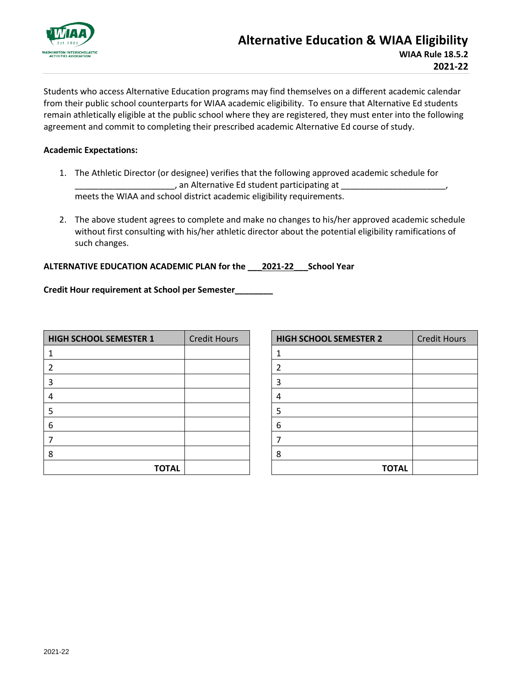

Students who access Alternative Education programs may find themselves on a different academic calendar from their public school counterparts for WIAA academic eligibility. To ensure that Alternative Ed students remain athletically eligible at the public school where they are registered, they must enter into the following agreement and commit to completing their prescribed academic Alternative Ed course of study.

## **Academic Expectations:**

- 1. The Athletic Director (or designee) verifies that the following approved academic schedule for  $\_$ , an Alternative Ed student participating at  $\_$ meets the WIAA and school district academic eligibility requirements.
- 2. The above student agrees to complete and make no changes to his/her approved academic schedule without first consulting with his/her athletic director about the potential eligibility ramifications of such changes.

## **ALTERNATIVE EDUCATION ACADEMIC PLAN for the \_\_\_2021-22\_\_\_School Year**

**Credit Hour requirement at School per Semester\_\_\_\_\_\_\_\_**

| <b>HIGH SCHOOL SEMESTER 1</b> | <b>Credit Hours</b> |
|-------------------------------|---------------------|
| 1                             |                     |
| $\overline{2}$                |                     |
| 3                             |                     |
| 4                             |                     |
| 5                             |                     |
| 6                             |                     |
| 7                             |                     |
| 8                             |                     |
| <b>TOTAL</b>                  |                     |

| <b>HIGH SCHOOL SEMESTER 2</b> | <b>Credit Hours</b> |
|-------------------------------|---------------------|
| 1                             |                     |
| $\overline{2}$                |                     |
| 3                             |                     |
| 4                             |                     |
| 5                             |                     |
| 6                             |                     |
| 7                             |                     |
| 8                             |                     |
| <b>TOTAL</b>                  |                     |